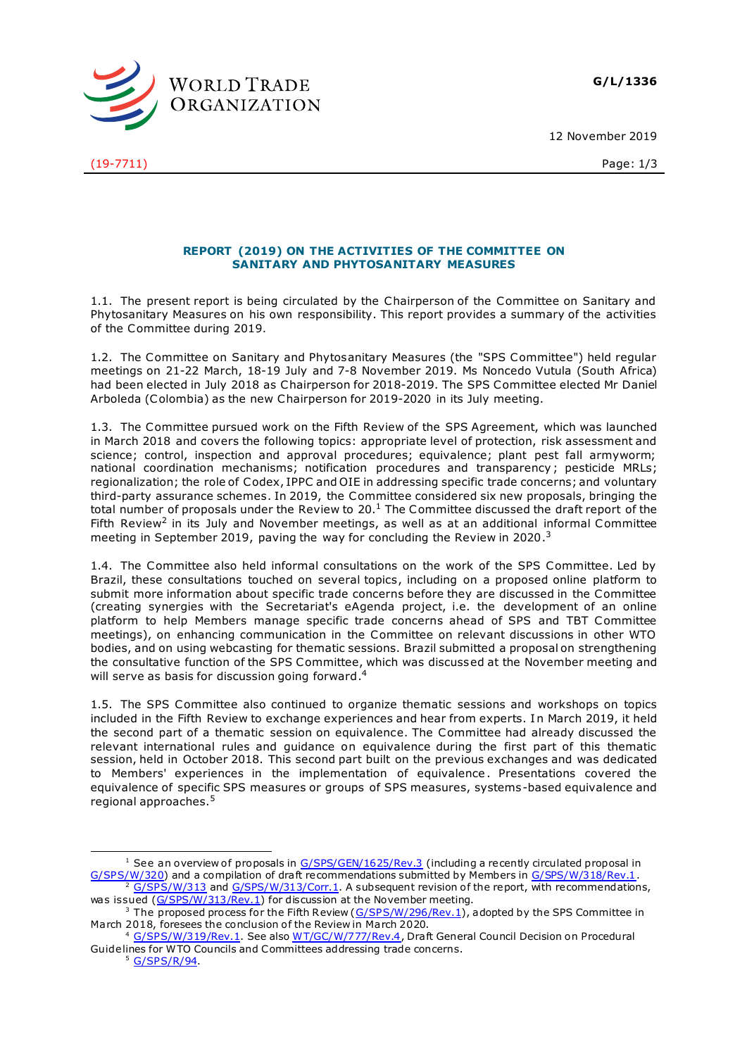**G/L/1336**

12 November 2019



(19-7711) Page: 1/3

## **REPORT (2019) ON THE ACTIVITIES OF THE COMMITTEE ON SANITARY AND PHYTOSANITARY MEASURES**

1.1. The present report is being circulated by the Chairperson of the Committee on Sanitary and Phytosanitary Measures on his own responsibility. This report provides a summary of the activities of the Committee during 2019.

1.2. The Committee on Sanitary and Phytosanitary Measures (the "SPS Committee") held regular meetings on 21-22 March, 18-19 July and 7-8 November 2019. Ms Noncedo Vutula (South Africa) had been elected in July 2018 as Chairperson for 2018-2019. The SPS Committee elected Mr Daniel Arboleda (Colombia) as the new Chairperson for 2019-2020 in its July meeting.

1.3. The Committee pursued work on the Fifth Review of the SPS Agreement, which was launched in March 2018 and covers the following topics: appropriate level of protection, risk assessment and science: control, inspection and approval procedures; equivalence; plant pest fall armyworm; national coordination mechanisms; notification procedures and transparency ; pesticide MRLs; regionalization; the role of Codex, IPPC and OIE in addressing specific trade concerns; and voluntary third-party assurance schemes. In 2019, the Committee considered six new proposals, bringing the total number of proposals under the Review to  $20.1$  The Committee discussed the draft report of the Fifth Review<sup>2</sup> in its July and November meetings, as well as at an additional informal Committee meeting in September 2019, paving the way for concluding the Review in 2020.<sup>3</sup>

1.4. The Committee also held informal consultations on the work of the SPS Committee. Led by Brazil, these consultations touched on several topics, including on a proposed online platform to submit more information about specific trade concerns before they are discussed in the Committee (creating synergies with the Secretariat's eAgenda project, i.e. the development of an online platform to help Members manage specific trade concerns ahead of SPS and TBT Committee meetings), on enhancing communication in the Committee on relevant discussions in other WTO bodies, and on using webcasting for thematic sessions. Brazil submitted a proposal on strengthening the consultative function of the SPS Committee, which was discussed at the November meeting and will serve as basis for discussion going forward.<sup>4</sup>

1.5. The SPS Committee also continued to organize thematic sessions and workshops on topics included in the Fifth Review to exchange experiences and hear from experts. In March 2019, it held the second part of a thematic session on equivalence. The Committee had already discussed the relevant international rules and guidance on equivalence during the first part of this thematic session, held in October 2018. This second part built on the previous exchanges and was dedicated to Members' experiences in the implementation of equivalence. Presentations covered the equivalence of specific SPS measures or groups of SPS measures, systems-based equivalence and regional approaches.<sup>5</sup>

ł <sup>1</sup> See an overview of proposals in  $G/SPS/GEN/1625/Rev.3$  (including a recently circulated proposal in [G/SPS/W/320](https://docs.wto.org/dol2fe/Pages/FE_Search/FE_S_S006.aspx?DataSource=Cat&query=@Symbol=G/SPS/W/320*&Language=English&Context=ScriptedSearches&languageUIChanged=true)) and a compilation of draft recommendations submitted by Members i[n G/SPS/W/318/Rev.1](https://docs.wto.org/dol2fe/Pages/FE_Search/FE_S_S006.aspx?DataSource=Cat&query=@Symbol=G/SPS/W/318/Rev.1*&Language=English&Context=ScriptedSearches&languageUIChanged=true).  $\frac{2}{3}$  [G/SPS/W/313](https://docs.wto.org/dol2fe/Pages/FE_Search/FE_S_S006.aspx?DataSource=Cat&query=@Symbol=G/SPS/W/313*&Language=English&Context=ScriptedSearches&languageUIChanged=true) an[d G/SPS/W/313/Corr.1.](https://docs.wto.org/dol2fe/Pages/FE_Search/FE_S_S006.aspx?DataSource=Cat&query=@Symbol=G/SPS/W/313/Corr.1*&Language=English&Context=ScriptedSearches&languageUIChanged=true) A subsequent revision of the report, with recommendations,

was issued [\(G/SPS/W/313/Rev.1](https://docs.wto.org/dol2fe/Pages/FE_Search/FE_S_S006.aspx?DataSource=Cat&query=@Symbol=G/SPS/W/313/Rev.1*&Language=English&Context=ScriptedSearches&languageUIChanged=true)) for discussion at the November meeting.

<sup>&</sup>lt;sup>3</sup> The proposed process for the Fifth Review [\(G/SPS/W/296/Rev.1](https://docs.wto.org/dol2fe/Pages/FE_Search/FE_S_S006.aspx?DataSource=Cat&query=@Symbol=G/SPS/W/296/Rev.1*&Language=English&Context=ScriptedSearches&languageUIChanged=true)), adopted by the SPS Committee in March 2018, foresees the conclusion of the Review in March 2020.

<sup>4</sup> [G/SPS/W/319/Rev.1](https://docs.wto.org/dol2fe/Pages/FE_Search/FE_S_S006.aspx?DataSource=Cat&query=@Symbol=G/SPS/W/319/Rev.1*&Language=English&Context=ScriptedSearches&languageUIChanged=true). See also [WT/GC/W/777/Rev.4](https://docs.wto.org/dol2fe/Pages/FE_Search/FE_S_S006.aspx?DataSource=Cat&query=@Symbol=WT/GC/W/777/Rev.4*&Language=English&Context=ScriptedSearches&languageUIChanged=true), Draft General Council Decision on Procedural Guidelines for WTO Councils and Committees addressing trade concerns.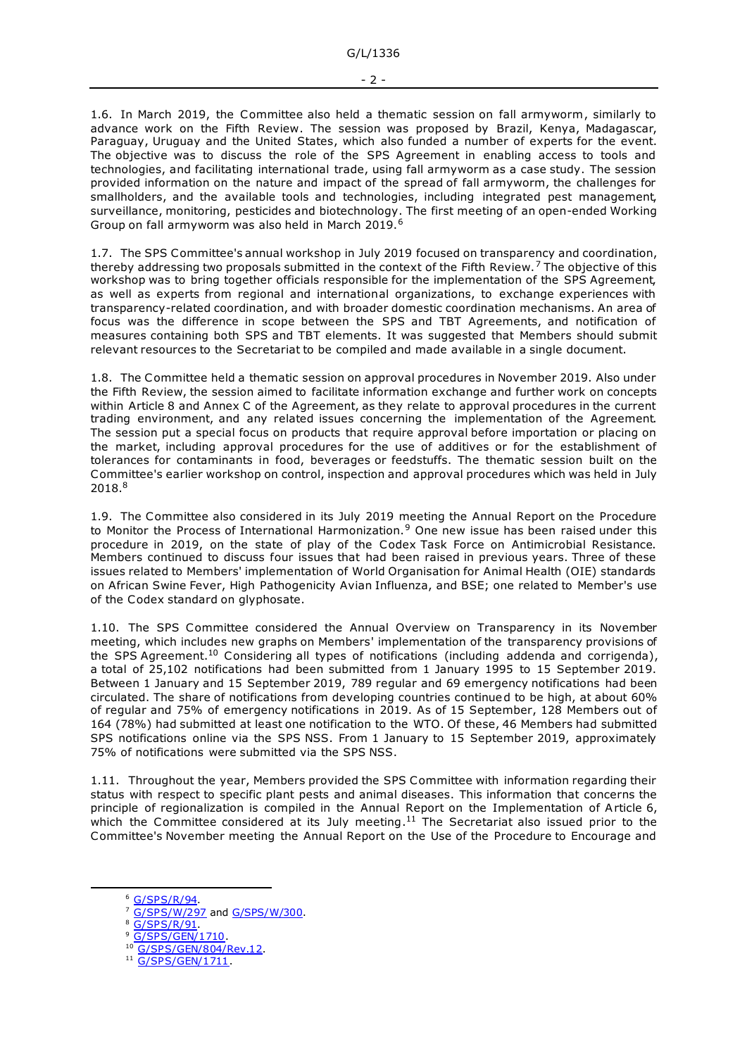1.6. In March 2019, the Committee also held a thematic session on fall armyworm, similarly to advance work on the Fifth Review. The session was proposed by Brazil, Kenya, Madagascar, Paraguay, Uruguay and the United States, which also funded a number of experts for the event. The objective was to discuss the role of the SPS Agreement in enabling access to tools and technologies, and facilitating international trade, using fall armyworm as a case study. The session provided information on the nature and impact of the spread of fall armyworm, the challenges for smallholders, and the available tools and technologies, including integrated pest management, surveillance, monitoring, pesticides and biotechnology. The first meeting of an open-ended Working Group on fall armyworm was also held in March 2019.<sup>6</sup>

1.7. The SPS Committee's annual workshop in July 2019 focused on transparency and coordination, thereby addressing two proposals submitted in the context of the Fifth Review.<sup>7</sup> The objective of this workshop was to bring together officials responsible for the implementation of the SPS Agreement, as well as experts from regional and international organizations, to exchange experiences with transparency-related coordination, and with broader domestic coordination mechanisms. An area of focus was the difference in scope between the SPS and TBT Agreements, and notification of measures containing both SPS and TBT elements. It was suggested that Members should submit relevant resources to the Secretariat to be compiled and made available in a single document.

1.8. The Committee held a thematic session on approval procedures in November 2019. Also under the Fifth Review, the session aimed to facilitate information exchange and further work on concepts within Article 8 and Annex C of the Agreement, as they relate to approval procedures in the current trading environment, and any related issues concerning the implementation of the Agreement. The session put a special focus on products that require approval before importation or placing on the market, including approval procedures for the use of additives or for the establishment of tolerances for contaminants in food, beverages or feedstuffs. The thematic session built on the Committee's earlier workshop on control, inspection and approval procedures which was held in July 2018. 8

1.9. The Committee also considered in its July 2019 meeting the Annual Report on the Procedure to Monitor the Process of International Harmonization.<sup>9</sup> One new issue has been raised under this procedure in 2019, on the state of play of the Codex Task Force on Antimicrobial Resistance. Members continued to discuss four issues that had been raised in previous years. Three of these issues related to Members' implementation of World Organisation for Animal Health (OIE) standards on African Swine Fever, High Pathogenicity Avian Influenza, and BSE; one related to Member's use of the Codex standard on glyphosate.

1.10. The SPS Committee considered the Annual Overview on Transparency in its November meeting, which includes new graphs on Members' implementation of the transparency provisions of the SPS Agreement.<sup>10</sup> Considering all types of notifications (including addenda and corrigenda), a total of 25,102 notifications had been submitted from 1 January 1995 to 15 September 2019. Between 1 January and 15 September 2019, 789 regular and 69 emergency notifications had been circulated. The share of notifications from developing countries continued to be high, at about 60% of regular and 75% of emergency notifications in 2019. As of 15 September, 128 Members out of 164 (78%) had submitted at least one notification to the WTO. Of these, 46 Members had submitted SPS notifications online via the SPS NSS. From 1 January to 15 September 2019, approximately 75% of notifications were submitted via the SPS NSS.

1.11. Throughout the year, Members provided the SPS Committee with information regarding their status with respect to specific plant pests and animal diseases. This information that concerns the principle of regionalization is compiled in the Annual Report on the Implementation of Article 6, which the Committee considered at its July meeting.<sup>11</sup> The Secretariat also issued prior to the Committee's November meeting the Annual Report on the Use of the Procedure to Encourage and

-

<sup>6</sup> [G/SPS/R/94](https://docs.wto.org/dol2fe/Pages/FE_Search/FE_S_S006.aspx?DataSource=Cat&query=@Symbol=G/SPS/R/94*&Language=English&Context=ScriptedSearches&languageUIChanged=true).

<sup>7</sup> [G/SPS/W/297](https://docs.wto.org/dol2fe/Pages/FE_Search/FE_S_S006.aspx?DataSource=Cat&query=@Symbol=G/SPS/W/297*&Language=English&Context=ScriptedSearches&languageUIChanged=true) an[d G/SPS/W/300](https://docs.wto.org/dol2fe/Pages/FE_Search/FE_S_S006.aspx?DataSource=Cat&query=@Symbol=G/SPS/W/300*&Language=English&Context=ScriptedSearches&languageUIChanged=true).

[G/SPS/R/91](https://docs.wto.org/dol2fe/Pages/FE_Search/FE_S_S006.aspx?DataSource=Cat&query=@Symbol=G/SPS/R/91*&Language=English&Context=ScriptedSearches&languageUIChanged=true)

 $9 \frac{\text{G/SPS/GEN}/1710}{\text{G/SPS/GEN}/1710}$ 

[G/SPS/GEN/804/Rev.12](https://docs.wto.org/dol2fe/Pages/FE_Search/FE_S_S006.aspx?DataSource=Cat&query=@Symbol=G/SPS/GEN/804/Rev.12*&Language=English&Context=ScriptedSearches&languageUIChanged=true).

<sup>&</sup>lt;sup>11</sup> [G/SPS/GEN/1711](https://docs.wto.org/dol2fe/Pages/FE_Search/FE_S_S006.aspx?DataSource=Cat&query=@Symbol=G/SPS/GEN/1711*&Language=English&Context=ScriptedSearches&languageUIChanged=true).